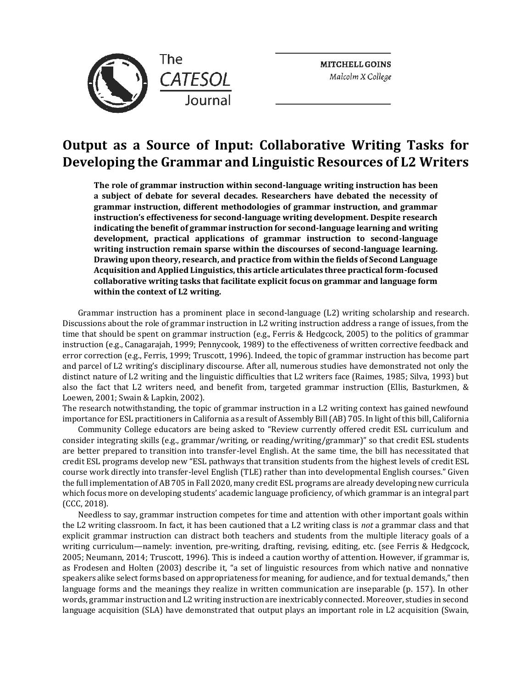

**MITCHELL GOINS**  *Malcolm* X *College* 

# **Output as a Source of Input: Collaborative Writing Tasks for Developing the Grammar and Linguistic Resources of L2 Writers**

**The role of grammar instruction within second-language writing instruction has been a subject of debate for several decades. Researchers have debated the necessity of grammar instruction, different methodologies of grammar instruction, and grammar instruction's effectiveness for second-language writing development. Despite research indicating the benefit of grammar instruction for second-language learning and writing development, practical applications of grammar instruction to second-language writing instruction remain sparse within the discourses of second-language learning. Drawing upon theory, research, and practice from within the fields of Second Language Acquisition and Applied Linguistics, this article articulates three practical form-focused collaborative writing tasks that facilitate explicit focus on grammar and language form within the context of L2 writing.** 

Grammar instruction has a prominent place in second-language (L2) writing scholarship and research. Discussions about the role of grammar instruction in L2 writing instruction address a range of issues, from the time that should be spent on grammar instruction (e.g., Ferris & Hedgcock, 2005) to the politics of grammar instruction (e.g., Canagarajah, 1999; Pennycook, 1989) to the effectiveness of written corrective feedback and error correction (e.g., Ferris, 1999; Truscott, 1996). Indeed, the topic of grammar instruction has become part and parcel of L2 writing's disciplinary discourse. After all, numerous studies have demonstrated not only the distinct nature of L2 writing and the linguistic difficulties that L2 writers face (Raimes, 1985; Silva, 1993) but also the fact that L2 writers need, and benefit from, targeted grammar instruction (Ellis, Basturkmen, & Loewen, 2001; Swain & Lapkin, 2002).

The research notwithstanding, the topic of grammar instruction in a L2 writing context has gained newfound importance for ESL practitioners in California as a result of Assembly Bill (AB) 705. In light of this bill, California

Community College educators are being asked to "Review currently offered credit ESL curriculum and consider integrating skills (e.g., grammar/writing, or reading/writing/grammar)" so that credit ESL students are better prepared to transition into transfer-level English. At the same time, the bill has necessitated that credit ESL programs develop new "ESL pathways that transition students from the highest levels of credit ESL course work directly into transfer-level English (TLE) rather than into developmental English courses." Given the full implementation of AB 705 in Fall 2020, many credit ESL programs are already developing new curricula which focus more on developing students' academic language proficiency, of which grammar is an integral part (CCC, 2018).

Needless to say, grammar instruction competes for time and attention with other important goals within the L2 writing classroom. In fact, it has been cautioned that a L2 writing class is *not* a grammar class and that explicit grammar instruction can distract both teachers and students from the multiple literacy goals of a writing curriculum—namely: invention, pre-writing, drafting, revising, editing, etc. (see Ferris & Hedgcock, 2005; Neumann, 2014; Truscott, 1996). This is indeed a caution worthy of attention. However, if grammar is, as Frodesen and Holten (2003) describe it, "a set of linguistic resources from which native and nonnative speakers alike select forms based on appropriateness for meaning, for audience, and for textual demands," then language forms and the meanings they realize in written communication are inseparable (p. 157). In other words, grammar instruction and L2 writing instruction are inextricably connected. Moreover, studies in second language acquisition (SLA) have demonstrated that output plays an important role in L2 acquisition (Swain,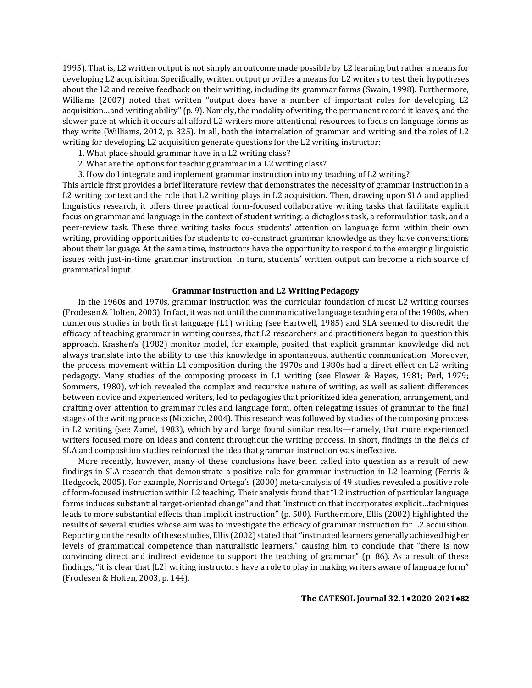1995). That is, L2 written output is not simply an outcome made possible by L2 learning but rather a means for developing L2 acquisition. Specifically, written output provides a means for L2 writers to test their hypotheses about the L2 and receive feedback on their writing, including its grammar forms (Swain, 1998). Furthermore, Williams (2007) noted that written "output does have a number of important roles for developing L2 acquisition...and writing ability" (p. 9). Namely, the modality of writing, the permanent record it leaves, and the slower pace at which it occurs all afford L2 writers more attentional resources to focus on language forms as they write (Williams, 2012, p. 325). In all, both the interrelation of grammar and writing and the roles of L2 writing for developing L2 acquisition generate questions for the L2 writing instructor:

- 1. What place should grammar have in a L2 writing class?
- 2. What are the options for teaching grammar in a L2 writing class?
- 3. How do I integrate and implement grammar instruction into my teaching of L2 writing?

This article first provides a brief literature review that demonstrates the necessity of grammar instruction in a L2 writing context and the role that L2 writing plays in L2 acquisition. Then, drawing upon SLA and applied linguistics research, it offers three practical form-focused collaborative writing tasks that facilitate explicit focus on grammar and language in the context of student writing: a dictogloss task, a reformulation task, and a peer-review task. These three writing tasks focus students' attention on language form within their own writing, providing opportunities for students to co-construct grammar knowledge as they have conversations about their language. At the same time, instructors have the opportunity to respond to the emerging linguistic issues with just-in-time grammar instruction. In turn, students' written output can become a rich source of grammatical input.

# **Grammar Instruction and L2 Writing Pedagogy**

In the 1960s and 1970s, grammar instruction was the curricular foundation of most L2 writing courses (Frodesen & Holten, 2003). In fact, it was not until the communicative language teaching era of the 1980s, when numerous studies in both first language (L1) writing (see Hartwell, 1985) and SLA seemed to discredit the efficacy of teaching grammar in writing courses, that L2 researchers and practitioners began to question this approach. Krashen's (1982) monitor model, for example, posited that explicit grammar knowledge did not always translate into the ability to use this knowledge in spontaneous, authentic communication. Moreover, the process movement within L1 composition during the 1970s and 1980s had a direct effect on L2 writing pedagogy. Many studies of the composing process in L1 writing (see Flower & Hayes, 1981; Perl, 1979; Sommers, 1980), which revealed the complex and recursive nature of writing, as well as salient differences between novice and experienced writers, led to pedagogies that prioritized idea generation, arrangement, and drafting over attention to grammar rules and language form, often relegating issues of grammar to the final stages of the writing process (Micciche, 2004). This research was followed by studies of the composing process in L2 writing (see Zamel, 1983), which by and large found similar results—namely, that more experienced writers focused more on ideas and content throughout the writing process. In short, findings in the fields of SLA and composition studies reinforced the idea that grammar instruction was ineffective.

More recently, however, many of these conclusions have been called into question as a result of new findings in SLA research that demonstrate a positive role for grammar instruction in L2 learning (Ferris & Hedgcock, 2005). For example, Norris and Ortega's (2000) meta-analysis of 49 studies revealed a positive role of form-focused instruction within L2 teaching. Their analysis found that "L2 instruction of particular language forms induces substantial target-oriented change" and that "instruction that incorporates explicit…techniques leads to more substantial effects than implicit instruction" (p. 500). Furthermore, Ellis (2002) highlighted the results of several studies whose aim was to investigate the efficacy of grammar instruction for L2 acquisition. Reporting on the results of these studies, Ellis (2002) stated that "instructed learners generally achieved higher levels of grammatical competence than naturalistic learners," causing him to conclude that "there is now convincing direct and indirect evidence to support the teaching of grammar" (p. 86). As a result of these findings, "it is clear that [L2] writing instructors have a role to play in making writers aware of language form" (Frodesen & Holten, 2003, p. 144).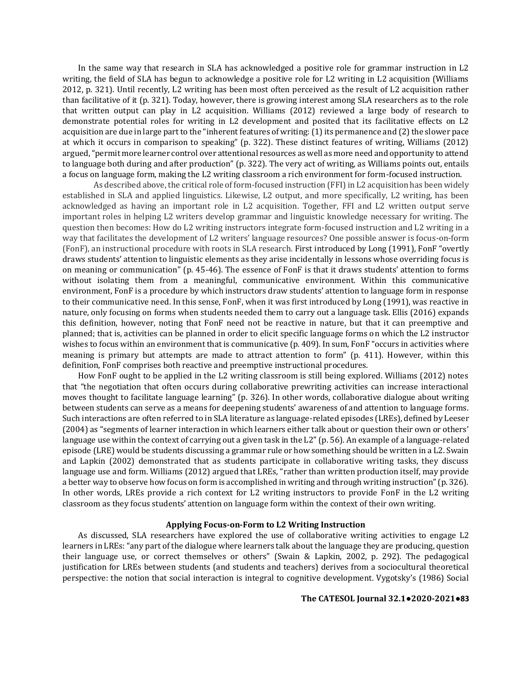In the same way that research in SLA has acknowledged a positive role for grammar instruction in L2 writing, the field of SLA has begun to acknowledge a positive role for L2 writing in L2 acquisition (Williams 2012, p. 321). Until recently, L2 writing has been most often perceived as the result of L2 acquisition rather than facilitative of it (p. 321). Today, however, there is growing interest among SLA researchers as to the role that written output can play in L2 acquisition. Williams (2012) reviewed a large body of research to demonstrate potential roles for writing in L2 development and posited that its facilitative effects on L2 acquisition are due in large part to the "inherent features of writing: (1) its permanence and (2) the slower pace at which it occurs in comparison to speaking" (p. 322). These distinct features of writing, Williams (2012) argued, "permit more learner control over attentional resources as well as more need and opportunity to attend to language both during and after production" (p. 322). The very act of writing, as Williams points out, entails a focus on language form, making the L2 writing classroom a rich environment for form-focused instruction.

As described above, the critical role of form-focused instruction (FFI) in L2 acquisition has been widely established in SLA and applied linguistics. Likewise, L2 output, and more specifically, L2 writing, has been acknowledged as having an important role in L2 acquisition. Together, FFI and L2 written output serve important roles in helping L2 writers develop grammar and linguistic knowledge necessary for writing. The question then becomes: How do L2 writing instructors integrate form-focused instruction and L2 writing in a way that facilitates the development of L2 writers' language resources? One possible answer is focus-on-form (FonF), an instructional procedure with roots in SLA research. First introduced by Long (1991), FonF "overtly draws students' attention to linguistic elements as they arise incidentally in lessons whose overriding focus is on meaning or communication" (p. 45-46). The essence of FonF is that it draws students' attention to forms without isolating them from a meaningful, communicative environment. Within this communicative environment, FonF is a procedure by which instructors draw students' attention to language form in response to their communicative need. In this sense, FonF, when it was first introduced by Long (1991), was reactive in nature, only focusing on forms when students needed them to carry out a language task. Ellis (2016) expands this definition, however, noting that FonF need not be reactive in nature, but that it can preemptive and planned; that is, activities can be planned in order to elicit specific language forms on which the L2 instructor wishes to focus within an environment that is communicative (p. 409). In sum, FonF "occurs in activities where meaning is primary but attempts are made to attract attention to form" (p. 411). However, within this definition, FonF comprises both reactive and preemptive instructional procedures.

How FonF ought to be applied in the L2 writing classroom is still being explored. Williams (2012) notes that "the negotiation that often occurs during collaborative prewriting activities can increase interactional moves thought to facilitate language learning" (p. 326). In other words, collaborative dialogue about writing between students can serve as a means for deepening students' awareness of and attention to language forms. Such interactions are often referred to in SLA literature as language-related episodes (LREs), defined by Leeser (2004) as "segments of learner interaction in which learners either talk about or question their own or others' language use within the context of carrying out a given task in the L2" (p. 56). An example of a language-related episode (LRE) would be students discussing a grammar rule or how something should be written in a L2. Swain and Lapkin (2002) demonstrated that as students participate in collaborative writing tasks, they discuss language use and form. Williams (2012) argued that LREs, "rather than written production itself, may provide a better way to observe how focus on form is accomplished in writing and through writing instruction" (p. 326). In other words, LREs provide a rich context for L2 writing instructors to provide FonF in the L2 writing classroom as they focus students' attention on language form within the context of their own writing.

# **Applying Focus-on-Form to L2 Writing Instruction**

As discussed, SLA researchers have explored the use of collaborative writing activities to engage L2 learners in LREs: "any part of the dialogue where learners talk about the language they are producing, question their language use, or correct themselves or others" (Swain & Lapkin, 2002, p. 292). The pedagogical justification for LREs between students (and students and teachers) derives from a sociocultural theoretical perspective: the notion that social interaction is integral to cognitive development. Vygotsky's (1986) Social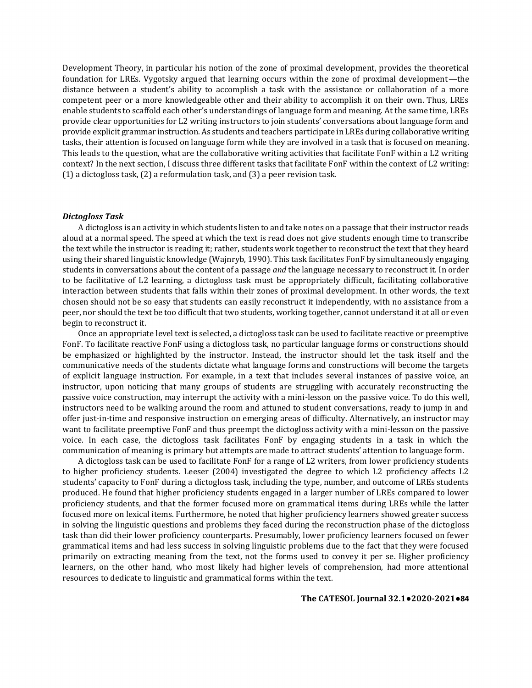Development Theory, in particular his notion of the zone of proximal development, provides the theoretical foundation for LREs. Vygotsky argued that learning occurs within the zone of proximal development—the distance between a student's ability to accomplish a task with the assistance or collaboration of a more competent peer or a more knowledgeable other and their ability to accomplish it on their own. Thus, LREs enable students to scaffold each other's understandings of language form and meaning. At the same time, LREs provide clear opportunities for L2 writing instructors to join students' conversations about language form and provide explicit grammar instruction. As students and teachers participate in LREs during collaborative writing tasks, their attention is focused on language form while they are involved in a task that is focused on meaning. This leads to the question, what are the collaborative writing activities that facilitate FonF within a L2 writing context? In the next section, I discuss three different tasks that facilitate FonF within the context of L2 writing: (1) a dictogloss task, (2) a reformulation task, and (3) a peer revision task.

## *Dictogloss Task*

A dictogloss is an activity in which students listen to and take notes on a passage that their instructor reads aloud at a normal speed. The speed at which the text is read does not give students enough time to transcribe the text while the instructor is reading it; rather, students work together to reconstruct the text that they heard using their shared linguistic knowledge (Wajnryb, 1990). This task facilitates FonF by simultaneously engaging students in conversations about the content of a passage *and* the language necessary to reconstruct it. In order to be facilitative of L2 learning, a dictogloss task must be appropriately difficult, facilitating collaborative interaction between students that falls within their zones of proximal development. In other words, the text chosen should not be so easy that students can easily reconstruct it independently, with no assistance from a peer, nor should the text be too difficult that two students, working together, cannot understand it at all or even begin to reconstruct it.

Once an appropriate level text is selected, a dictogloss task can be used to facilitate reactive or preemptive FonF. To facilitate reactive FonF using a dictogloss task, no particular language forms or constructions should be emphasized or highlighted by the instructor. Instead, the instructor should let the task itself and the communicative needs of the students dictate what language forms and constructions will become the targets of explicit language instruction. For example, in a text that includes several instances of passive voice, an instructor, upon noticing that many groups of students are struggling with accurately reconstructing the passive voice construction, may interrupt the activity with a mini-lesson on the passive voice. To do this well, instructors need to be walking around the room and attuned to student conversations, ready to jump in and offer just-in-time and responsive instruction on emerging areas of difficulty. Alternatively, an instructor may want to facilitate preemptive FonF and thus preempt the dictogloss activity with a mini-lesson on the passive voice. In each case, the dictogloss task facilitates FonF by engaging students in a task in which the communication of meaning is primary but attempts are made to attract students' attention to language form.

A dictogloss task can be used to facilitate FonF for a range of L2 writers, from lower proficiency students to higher proficiency students. Leeser (2004) investigated the degree to which L2 proficiency affects L2 students' capacity to FonF during a dictogloss task, including the type, number, and outcome of LREs students produced. He found that higher proficiency students engaged in a larger number of LREs compared to lower proficiency students, and that the former focused more on grammatical items during LREs while the latter focused more on lexical items. Furthermore, he noted that higher proficiency learners showed greater success in solving the linguistic questions and problems they faced during the reconstruction phase of the dictogloss task than did their lower proficiency counterparts. Presumably, lower proficiency learners focused on fewer grammatical items and had less success in solving linguistic problems due to the fact that they were focused primarily on extracting meaning from the text, not the forms used to convey it per se. Higher proficiency learners, on the other hand, who most likely had higher levels of comprehension, had more attentional resources to dedicate to linguistic and grammatical forms within the text.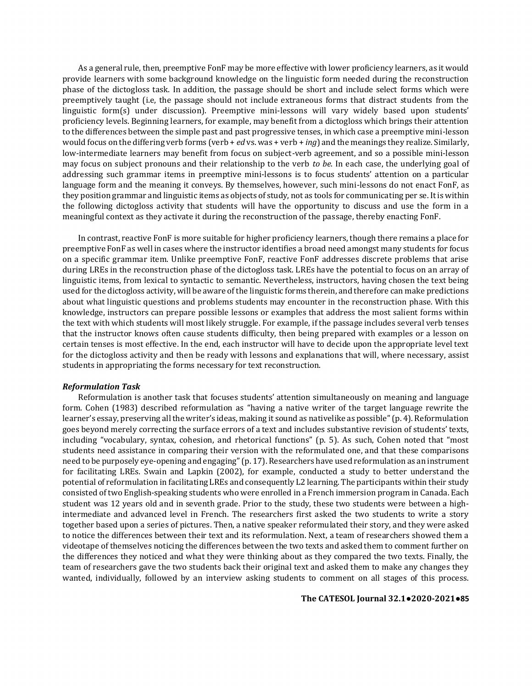As a general rule, then, preemptive FonF may be more effective with lower proficiency learners, as it would provide learners with some background knowledge on the linguistic form needed during the reconstruction phase of the dictogloss task. In addition, the passage should be short and include select forms which were preemptively taught (i.e, the passage should not include extraneous forms that distract students from the linguistic form(s) under discussion). Preemptive mini-lessons will vary widely based upon students' proficiency levels. Beginning learners, for example, may benefit from a dictogloss which brings their attention to the differences between the simple past and past progressive tenses, in which case a preemptive mini-lesson would focus on the differing verb forms (verb + *ed* vs. was + verb + *ing*) and the meanings they realize. Similarly, low-intermediate learners may benefit from focus on subject-verb agreement, and so a possible mini-lesson may focus on subject pronouns and their relationship to the verb *to be*. In each case, the underlying goal of addressing such grammar items in preemptive mini-lessons is to focus students' attention on a particular language form and the meaning it conveys. By themselves, however, such mini-lessons do not enact FonF, as they position grammar and linguistic items as objects of study, not as tools for communicating per se. It is within the following dictogloss activity that students will have the opportunity to discuss and use the form in a meaningful context as they activate it during the reconstruction of the passage, thereby enacting FonF.

In contrast, reactive FonF is more suitable for higher proficiency learners, though there remains a place for preemptive FonF as well in cases where the instructor identifies a broad need amongst many students for focus on a specific grammar item. Unlike preemptive FonF, reactive FonF addresses discrete problems that arise during LREs in the reconstruction phase of the dictogloss task. LREs have the potential to focus on an array of linguistic items, from lexical to syntactic to semantic. Nevertheless, instructors, having chosen the text being used for the dictogloss activity, will be aware of the linguistic forms therein, and therefore can make predictions about what linguistic questions and problems students may encounter in the reconstruction phase. With this knowledge, instructors can prepare possible lessons or examples that address the most salient forms within the text with which students will most likely struggle. For example, if the passage includes several verb tenses that the instructor knows often cause students difficulty, then being prepared with examples or a lesson on certain tenses is most effective. In the end, each instructor will have to decide upon the appropriate level text for the dictogloss activity and then be ready with lessons and explanations that will, where necessary, assist students in appropriating the forms necessary for text reconstruction.

# *Reformulation Task*

Reformulation is another task that focuses students' attention simultaneously on meaning and language form. Cohen (1983) described reformulation as "having a native writer of the target language rewrite the learner's essay, preserving all the writer's ideas, making it sound as nativelike as possible" (p. 4). Reformulation goes beyond merely correcting the surface errors of a text and includes substantive revision of students' texts, including "vocabulary, syntax, cohesion, and rhetorical functions" (p. 5). As such, Cohen noted that "most students need assistance in comparing their version with the reformulated one, and that these comparisons need to be purposely eye-opening and engaging" (p. 17). Researchers have used reformulation as an instrument for facilitating LREs. Swain and Lapkin (2002), for example, conducted a study to better understand the potential of reformulation in facilitating LREs and consequently L2 learning. The participants within their study consisted of two English-speaking students who were enrolled in a French immersion program in Canada. Each student was 12 years old and in seventh grade. Prior to the study, these two students were between a highintermediate and advanced level in French. The researchers first asked the two students to write a story together based upon a series of pictures. Then, a native speaker reformulated their story, and they were asked to notice the differences between their text and its reformulation. Next, a team of researchers showed them a videotape of themselves noticing the differences between the two texts and asked them to comment further on the differences they noticed and what they were thinking about as they compared the two texts. Finally, the team of researchers gave the two students back their original text and asked them to make any changes they wanted, individually, followed by an interview asking students to comment on all stages of this process.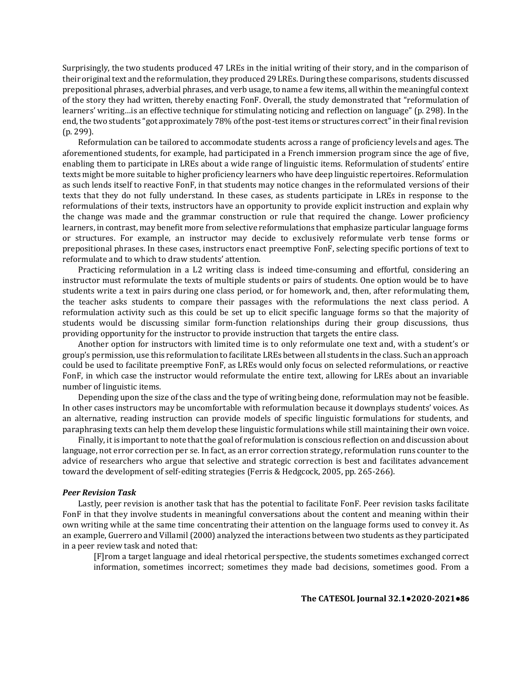Surprisingly, the two students produced 47 LREs in the initial writing of their story, and in the comparison of their original text and the reformulation, they produced 29 LREs. During these comparisons, students discussed prepositional phrases, adverbial phrases, and verb usage, to name a few items, all within the meaningful context of the story they had written, thereby enacting FonF. Overall, the study demonstrated that "reformulation of learners' writing…is an effective technique for stimulating noticing and reflection on language" (p. 298). In the end, the two students "got approximately 78% of the post-test items or structures correct" in their final revision (p. 299).

Reformulation can be tailored to accommodate students across a range of proficiency levels and ages. The aforementioned students, for example, had participated in a French immersion program since the age of five, enabling them to participate in LREs about a wide range of linguistic items. Reformulation of students' entire texts might be more suitable to higher proficiency learners who have deep linguistic repertoires. Reformulation as such lends itself to reactive FonF, in that students may notice changes in the reformulated versions of their texts that they do not fully understand. In these cases, as students participate in LREs in response to the reformulations of their texts, instructors have an opportunity to provide explicit instruction and explain why the change was made and the grammar construction or rule that required the change. Lower proficiency learners, in contrast, may benefit more from selective reformulations that emphasize particular language forms or structures. For example, an instructor may decide to exclusively reformulate verb tense forms or prepositional phrases. In these cases, instructors enact preemptive FonF, selecting specific portions of text to reformulate and to which to draw students' attention.

Practicing reformulation in a L2 writing class is indeed time-consuming and effortful, considering an instructor must reformulate the texts of multiple students or pairs of students. One option would be to have students write a text in pairs during one class period, or for homework, and, then, after reformulating them, the teacher asks students to compare their passages with the reformulations the next class period. A reformulation activity such as this could be set up to elicit specific language forms so that the majority of students would be discussing similar form-function relationships during their group discussions, thus providing opportunity for the instructor to provide instruction that targets the entire class.

Another option for instructors with limited time is to only reformulate one text and, with a student's or group's permission, use this reformulation to facilitate LREs between all students in the class. Such an approach could be used to facilitate preemptive FonF, as LREs would only focus on selected reformulations, or reactive FonF, in which case the instructor would reformulate the entire text, allowing for LREs about an invariable number of linguistic items.

Depending upon the size of the class and the type of writing being done, reformulation may not be feasible. In other cases instructors may be uncomfortable with reformulation because it downplays students' voices. As an alternative, reading instruction can provide models of specific linguistic formulations for students, and paraphrasing texts can help them develop these linguistic formulations while still maintaining their own voice.

Finally, it is important to note that the goal of reformulation is conscious reflection on and discussion about language, not error correction per se. In fact, as an error correction strategy, reformulation runs counter to the advice of researchers who argue that selective and strategic correction is best and facilitates advancement toward the development of self-editing strategies (Ferris & Hedgcock, 2005, pp. 265-266).

#### *Peer Revision Task*

Lastly, peer revision is another task that has the potential to facilitate FonF. Peer revision tasks facilitate FonF in that they involve students in meaningful conversations about the content and meaning within their own writing while at the same time concentrating their attention on the language forms used to convey it. As an example, Guerrero and Villamil (2000) analyzed the interactions between two students as they participated in a peer review task and noted that:

[F]rom a target language and ideal rhetorical perspective, the students sometimes exchanged correct information, sometimes incorrect; sometimes they made bad decisions, sometimes good. From a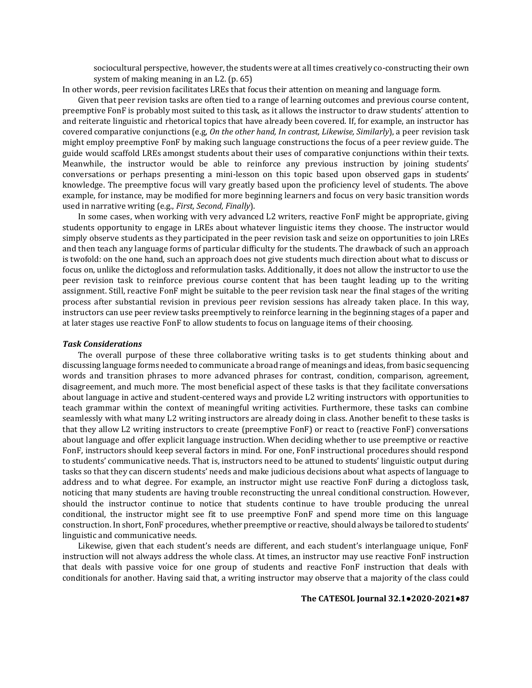sociocultural perspective, however, the students were at all times creatively co-constructing their own system of making meaning in an L2. (p. 65)

In other words, peer revision facilitates LREs that focus their attention on meaning and language form.

Given that peer revision tasks are often tied to a range of learning outcomes and previous course content, preemptive FonF is probably most suited to this task, as it allows the instructor to draw students' attention to and reiterate linguistic and rhetorical topics that have already been covered. If, for example, an instructor has covered comparative conjunctions (e.g, *On the other hand, In contrast, Likewise, Similarly*), a peer revision task might employ preemptive FonF by making such language constructions the focus of a peer review guide. The guide would scaffold LREs amongst students about their uses of comparative conjunctions within their texts. Meanwhile, the instructor would be able to reinforce any previous instruction by joining students' conversations or perhaps presenting a mini-lesson on this topic based upon observed gaps in students' knowledge. The preemptive focus will vary greatly based upon the proficiency level of students. The above example, for instance, may be modified for more beginning learners and focus on very basic transition words used in narrative writing (e.g., *First, Second, Finally*).

In some cases, when working with very advanced L2 writers, reactive FonF might be appropriate, giving students opportunity to engage in LREs about whatever linguistic items they choose. The instructor would simply observe students as they participated in the peer revision task and seize on opportunities to join LREs and then teach any language forms of particular difficulty for the students. The drawback of such an approach is twofold: on the one hand, such an approach does not give students much direction about what to discuss or focus on, unlike the dictogloss and reformulation tasks. Additionally, it does not allow the instructor to use the peer revision task to reinforce previous course content that has been taught leading up to the writing assignment. Still, reactive FonF might be suitable to the peer revision task near the final stages of the writing process after substantial revision in previous peer revision sessions has already taken place. In this way, instructors can use peer review tasks preemptively to reinforce learning in the beginning stages of a paper and at later stages use reactive FonF to allow students to focus on language items of their choosing.

#### *Task Considerations*

The overall purpose of these three collaborative writing tasks is to get students thinking about and discussing language forms needed to communicate a broad range of meanings and ideas, from basic sequencing words and transition phrases to more advanced phrases for contrast, condition, comparison, agreement, disagreement, and much more. The most beneficial aspect of these tasks is that they facilitate conversations about language in active and student-centered ways and provide L2 writing instructors with opportunities to teach grammar within the context of meaningful writing activities. Furthermore, these tasks can combine seamlessly with what many L2 writing instructors are already doing in class. Another benefit to these tasks is that they allow L2 writing instructors to create (preemptive FonF) or react to (reactive FonF) conversations about language and offer explicit language instruction. When deciding whether to use preemptive or reactive FonF, instructors should keep several factors in mind. For one, FonF instructional procedures should respond to students' communicative needs. That is, instructors need to be attuned to students' linguistic output during tasks so that they can discern students' needs and make judicious decisions about what aspects of language to address and to what degree. For example, an instructor might use reactive FonF during a dictogloss task, noticing that many students are having trouble reconstructing the unreal conditional construction. However, should the instructor continue to notice that students continue to have trouble producing the unreal conditional, the instructor might see fit to use preemptive FonF and spend more time on this language construction. In short, FonF procedures, whether preemptive or reactive, should always be tailored to students' linguistic and communicative needs.

Likewise, given that each student's needs are different, and each student's interlanguage unique, FonF instruction will not always address the whole class. At times, an instructor may use reactive FonF instruction that deals with passive voice for one group of students and reactive FonF instruction that deals with conditionals for another. Having said that, a writing instructor may observe that a majority of the class could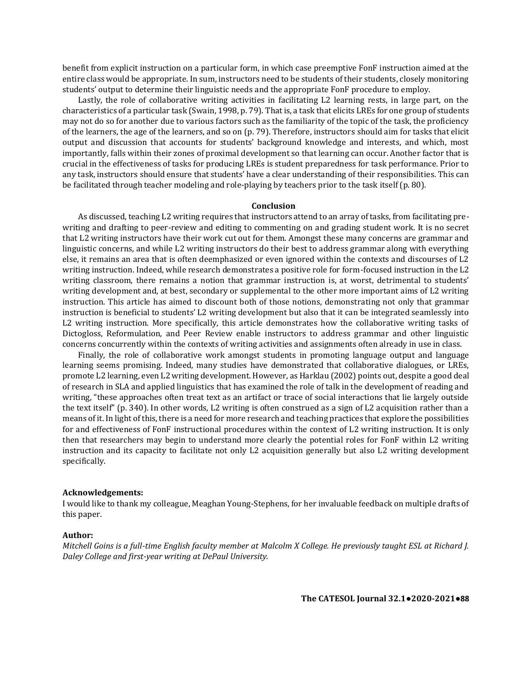benefit from explicit instruction on a particular form, in which case preemptive FonF instruction aimed at the entire class would be appropriate. In sum, instructors need to be students of their students, closely monitoring students' output to determine their linguistic needs and the appropriate FonF procedure to employ.

Lastly, the role of collaborative writing activities in facilitating L2 learning rests, in large part, on the characteristics of a particular task (Swain, 1998, p. 79). That is, a task that elicits LREs for one group of students may not do so for another due to various factors such as the familiarity of the topic of the task, the proficiency of the learners, the age of the learners, and so on (p. 79). Therefore, instructors should aim for tasks that elicit output and discussion that accounts for students' background knowledge and interests, and which, most importantly, falls within their zones of proximal development so that learning can occur. Another factor that is crucial in the effectiveness of tasks for producing LREs is student preparedness for task performance. Prior to any task, instructors should ensure that students' have a clear understanding of their responsibilities. This can be facilitated through teacher modeling and role-playing by teachers prior to the task itself (p. 80).

#### **Conclusion**

As discussed, teaching L2 writing requires that instructors attend to an array of tasks, from facilitating prewriting and drafting to peer-review and editing to commenting on and grading student work. It is no secret that L2 writing instructors have their work cut out for them. Amongst these many concerns are grammar and linguistic concerns, and while L2 writing instructors do their best to address grammar along with everything else, it remains an area that is often deemphasized or even ignored within the contexts and discourses of L2 writing instruction. Indeed, while research demonstrates a positive role for form-focused instruction in the L2 writing classroom, there remains a notion that grammar instruction is, at worst, detrimental to students' writing development and, at best, secondary or supplemental to the other more important aims of L2 writing instruction. This article has aimed to discount both of those notions, demonstrating not only that grammar instruction is beneficial to students' L2 writing development but also that it can be integrated seamlessly into L2 writing instruction. More specifically, this article demonstrates how the collaborative writing tasks of Dictogloss, Reformulation, and Peer Review enable instructors to address grammar and other linguistic concerns concurrently within the contexts of writing activities and assignments often already in use in class.

Finally, the role of collaborative work amongst students in promoting language output and language learning seems promising. Indeed, many studies have demonstrated that collaborative dialogues, or LREs, promote L2 learning, even L2 writing development. However, as Harklau (2002) points out, despite a good deal of research in SLA and applied linguistics that has examined the role of talk in the development of reading and writing, "these approaches often treat text as an artifact or trace of social interactions that lie largely outside the text itself" (p. 340). In other words, L2 writing is often construed as a sign of L2 acquisition rather than a means of it. In light of this, there is a need for more research and teaching practices that explore the possibilities for and effectiveness of FonF instructional procedures within the context of L2 writing instruction. It is only then that researchers may begin to understand more clearly the potential roles for FonF within L2 writing instruction and its capacity to facilitate not only L2 acquisition generally but also L2 writing development specifically.

# **Acknowledgements:**

I would like to thank my colleague, Meaghan Young-Stephens, for her invaluable feedback on multiple drafts of this paper.

# **Author:**

*Mitchell Goins is a full-time English faculty member at Malcolm X College. He previously taught ESL at Richard J. Daley College and first-year writing at DePaul University.*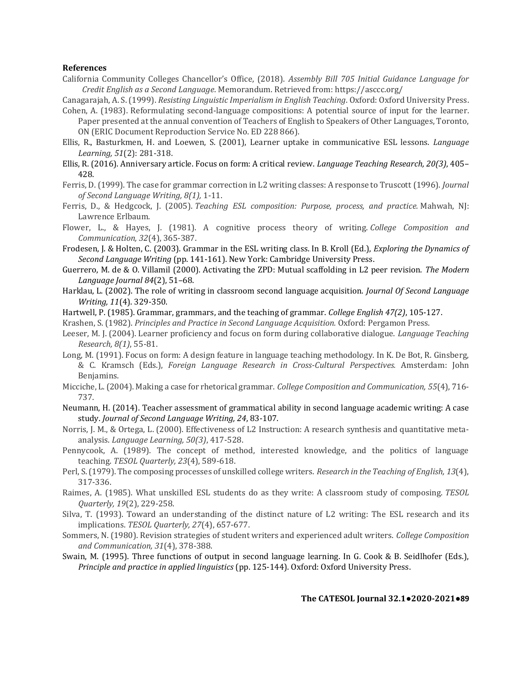# **References**

California Community Colleges Chancellor's Office, (2018). *Assembly Bill 705 Initial Guidance Language for Credit English as a Second Language*. Memorandum. Retrieved from: https://asccc.org/

Canagarajah, A. S. (1999). *Resisting Linguistic Imperialism in English Teaching*. Oxford: Oxford University Press.

- Cohen, A. (1983). Reformulating second-language compositions: A potential source of input for the learner. Paper presented at the annual convention of Teachers of English to Speakers of Other Languages, Toronto, ON (ERIC Document Reproduction Service No. ED 228 866).
- Ellis, R., Basturkmen, H. and Loewen, S. (2001), Learner uptake in communicative ESL lessons. *Language Learning, 51*(2): 281-318.
- Ellis, R. (2016). Anniversary article. Focus on form: A critical review. *Language Teaching Research, 20(3)*, 405– 428.
- Ferris, D. (1999). The case for grammar correction in L2 writing classes: A response to Truscott (1996). *Journal of Second Language Writing, 8(1),* 1-11.
- Ferris, D., & Hedgcock, J. (2005). *Teaching ESL composition: Purpose, process, and practice.* Mahwah, NJ: Lawrence Erlbaum.
- Flower, L., & Hayes, J. (1981). A cognitive process theory of writing. *College Composition and Communication, 32*(4), 365-387.
- Frodesen, J. & Holten, C. (2003). Grammar in the ESL writing class. In B. Kroll (Ed.), *Exploring the Dynamics of Second Language Writing* (pp. 141-161). New York: Cambridge University Press.
- Guerrero, M. de & O. Villamil (2000). Activating the ZPD: Mutual scaffolding in L2 peer revision. *The Modern Language Journal 84*(2), 51–68.
- Harklau, L. (2002). The role of writing in classroom second language acquisition. *Journal Of Second Language Writing, 11*(4). 329-350.
- Hartwell, P. (1985). Grammar, grammars, and the teaching of grammar. *College English 47(2)*, 105-127.
- Krashen, S. (1982). *Principles and Practice in Second Language Acquisition.* Oxford: Pergamon Press.
- Leeser, M. J. (2004). Learner proficiency and focus on form during collaborative dialogue. *Language Teaching Research, 8(1)*, 55-81.
- Long, M. (1991). Focus on form: A design feature in language teaching methodology. In K. De Bot, R. Ginsberg, & C. Kramsch (Eds.), *Foreign Language Research in Cross-Cultural Perspectives.* Amsterdam: John Benjamins.
- Micciche, L. (2004). Making a case for rhetorical grammar. *College Composition and Communication, 55*(4), 716- 737.
- Neumann, H. (2014). Teacher assessment of grammatical ability in second language academic writing: A case study. *Journal of Second Language Writing, 24*, 83-107.
- Norris, J. M., & Ortega, L. (2000). Effectiveness of L2 Instruction: A research synthesis and quantitative metaanalysis. *Language Learning, 50(3)*, 417-528.
- Pennycook, A. (1989). The concept of method, interested knowledge, and the politics of language teaching. *TESOL Quarterly, 23*(4), 589-618.
- Perl, S. (1979). The composing processes of unskilled college writers. *Research in the Teaching of English, 13*(4), 317-336.
- Raimes, A. (1985). What unskilled ESL students do as they write: A classroom study of composing. *TESOL Quarterly, 19*(2), 229-258.
- Silva, T. (1993). Toward an understanding of the distinct nature of L2 writing: The ESL research and its implications. *TESOL Quarterly, 27*(4), 657-677.
- Sommers, N. (1980). Revision strategies of student writers and experienced adult writers. *College Composition and Communication, 31*(4), 378-388.
- Swain, M. (1995). Three functions of output in second language learning. In G. Cook & B. Seidlhofer (Eds.), *Principle and practice in applied linguistics* (pp. 125-144). Oxford: Oxford University Press.